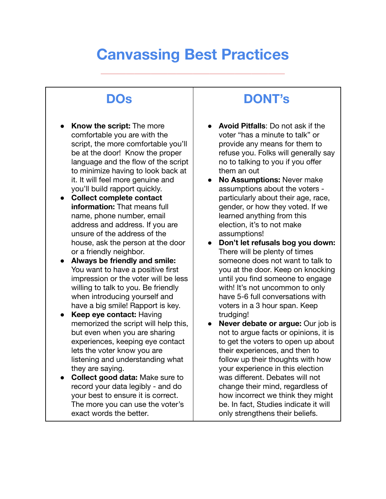## **Canvassing Best Practices**

 $\mathcal{L}^{\infty}(\mathbb{R}^N)$  is a set of the set of the set of the set of the set of the set of the set of the set of the set of the set of the set of the set of the set of the set of the set of the set of the set of the set of

## **DOs**

- **Know the script:** The more comfortable you are with the script, the more comfortable you'll be at the door! Know the proper language and the flow of the script to minimize having to look back at it. It will feel more genuine and you'll build rapport quickly.
- **● Collect complete contact information:** That means full name, phone number, email address and address. If you are unsure of the address of the house, ask the person at the door or a friendly neighbor.
- **● Always be friendly and smile:** You want to have a positive first impression or the voter will be less willing to talk to you. Be friendly when introducing yourself and have a big smile! Rapport is key.
- **Keep eye contact: Having** memorized the script will help this, but even when you are sharing experiences, keeping eye contact lets the voter know you are listening and understanding what they are saying.
- **● Collect good data:** Make sure to record your data legibly - and do your best to ensure it is correct. The more you can use the voter's exact words the better.

## **DONT's**

- **Avoid Pitfalls**: Do not ask if the voter "has a minute to talk" or provide any means for them to refuse you. Folks will generally say no to talking to you if you offer them an out
- **● No Assumptions:** Never make assumptions about the voters particularly about their age, race, gender, or how they voted. If we learned anything from this election, it's to not make assumptions!
- **● Don't let refusals bog you down:** There will be plenty of times someone does not want to talk to you at the door. Keep on knocking until you find someone to engage with! It's not uncommon to only have 5-6 full conversations with voters in a 3 hour span. Keep trudging!
- **● Never debate or argue:** Our job is not to argue facts or opinions, it is to get the voters to open up about their experiences, and then to follow up their thoughts with how your experience in this election was different. Debates will not change their mind, regardless of how incorrect we think they might be. In fact, Studies indicate it will only strengthens their beliefs.